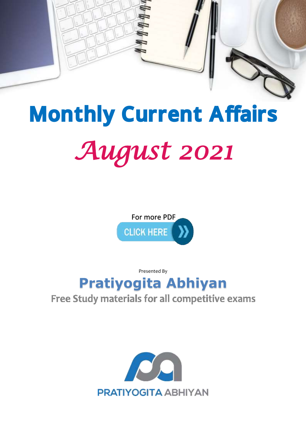

# *August 2021*  Monthly Current Affairs



Presented By

## **[Pratiyogita Abhiyan](http://pratiyogitaabhiyan.in/)**

### Free Study materials for all competitive exams

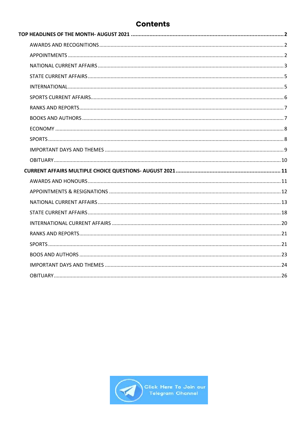#### **Contents**

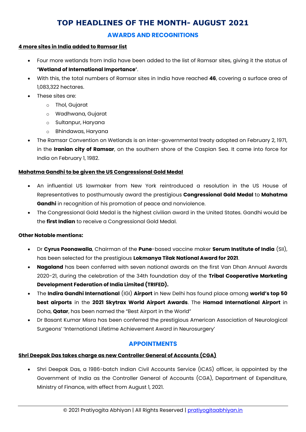#### **TOP HEADLINES OF THE MONTH- AUGUST 2021**

#### **AWARDS AND RECOGNITIONS**

#### <span id="page-2-1"></span><span id="page-2-0"></span>**4 more sites in India added to Ramsar list**

- Four more wetlands from India have been added to the list of Ramsar sites, giving it the status of **'Wetland of International Importance'**.
- With this, the total numbers of Ramsar sites in India have reached **46**, covering a surface area of 1,083,322 hectares.
- These sites are:
	- o Thol, Gujarat
	- o Wadhwana, Gujarat
	- o Sultanpur, Haryana
	- o Bhindawas, Haryana
- The Ramsar Convention on Wetlands is an inter-governmental treaty adopted on February 2, 1971, in the **Iranian city of Ramsar**, on the southern shore of the Caspian Sea. It came into force for India on February 1, 1982.

#### **Mahatma Gandhi to be given the US Congressional Gold Medal**

- An influential US lawmaker from New York reintroduced a resolution in the US House of Representatives to posthumously award the prestigious **Congressional Gold Medal** to **Mahatma Gandhi** in recognition of his promotion of peace and nonviolence.
- The Congressional Gold Medal is the highest civilian award in the United States. Gandhi would be the **first Indian** to receive a Congressional Gold Medal.

#### **Other Notable mentions:**

- Dr **Cyrus Poonawalla**, Chairman of the **Pune**-based vaccine maker **Serum Institute of India** (SII), has been selected for the prestigious **Lokmanya Tilak National Award for 2021**.
- **Nagaland** has been conferred with seven national awards on the first Van Dhan Annual Awards 2020-21, during the celebration of the 34th foundation day of the **Tribal Cooperative Marketing Development Federation of India Limited (TRIFED).**
- The **Indira Gandhi International** (IGI) **Airport** in New Delhi has found place among **world's top 50 best airports** in the **2021 Skytrax World Airport Awards**. The **Hamad International Airport** in Doha, **Qatar**, has been named the "Best Airport in the World"
- Dr Basant Kumar Misra has been conferred the prestigious American Association of Neurological Surgeons' 'International Lifetime Achievement Award in Neurosurgery'

#### **APPOINTMENTS**

#### <span id="page-2-2"></span>**Shri Deepak Das takes charge as new Controller General of Accounts (CGA)**

 Shri Deepak Das, a 1986-batch Indian Civil Accounts Service (ICAS) officer, is appointed by the Government of India as the Controller General of Accounts (CGA), Department of Expenditure, Ministry of Finance, with effect from August 1, 2021.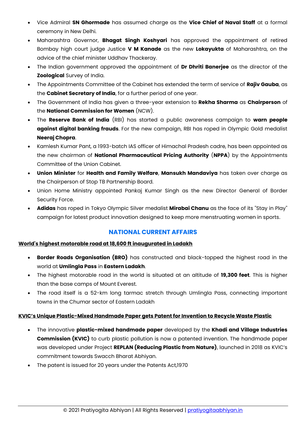- Vice Admiral **SN Ghormade** has assumed charge as the **Vice Chief of Naval Staff** at a formal ceremony in New Delhi.
- Maharashtra Governor, **Bhagat Singh Koshyari** has approved the appointment of retired Bombay high court judge Justice **V M Kanade** as the new **Lokayukta** of Maharashtra, on the advice of the chief minister Uddhav Thackeray.
- The Indian government approved the appointment of **Dr Dhriti Banerjee** as the director of the **Zoological** Survey of India.
- The Appointments Committee of the Cabinet has extended the term of service of **Rajiv Gauba**, as the **Cabinet Secretary of India**, for a further period of one year.
- The Government of India has given a three-year extension to **Rekha Sharma** as **Chairperson** of the **National Commission for Women** (NCW).
- The **Reserve Bank of India** (RBI) has started a public awareness campaign to **warn people against digital banking frauds**. For the new campaign, RBI has roped in Olympic Gold medalist **Neeraj Chopra**.
- Kamlesh Kumar Pant, a 1993-batch IAS officer of Himachal Pradesh cadre, has been appointed as the new chairman of **National Pharmaceutical Pricing Authority** (**NPPA**) by the Appointments Committee of the Union Cabinet.
- **Union Minister** for **Health and Family Welfare**, **Mansukh Mandaviya** has taken over charge as the Chairperson of Stop TB Partnership Board.
- Union Home Ministry appointed Pankaj Kumar Singh as the new Director General of Border Security Force.
- **Adidas** has roped in Tokyo Olympic Silver medalist **Mirabai Chanu** as the face of its ''Stay in Play'' campaign for latest product innovation designed to keep more menstruating women in sports.

#### **NATIONAL CURRENT AFFAIRS**

#### <span id="page-3-0"></span>**World's highest motorable road at 18,600 ft inaugurated in Ladakh**

- **Border Roads Organisation (BRO)** has constructed and black-topped the highest road in the world at **Umlingla Pass** in **Eastern Ladakh**.
- The highest motorable road in the world is situated at an altitude of **19,300 feet**. This is higher than the base camps of Mount Everest.
- The road itself is a 52-km long tarmac stretch through Umlingla Pass, connecting important towns in the Chumar sector of Eastern Ladakh

#### **KVIC's Unique Plastic-Mixed Handmade Paper gets Patent for Invention to Recycle Waste Plastic**

- The innovative **plastic-mixed handmade paper** developed by the **Khadi and Village Industries Commission (KVIC)** to curb plastic pollution is now a patented invention. The handmade paper was developed under Project **REPLAN (Reducing Plastic from Nature)**, launched in 2018 as KVIC's commitment towards Swacch Bharat Abhiyan.
- The patent is issued for 20 years under the Patents Act,1970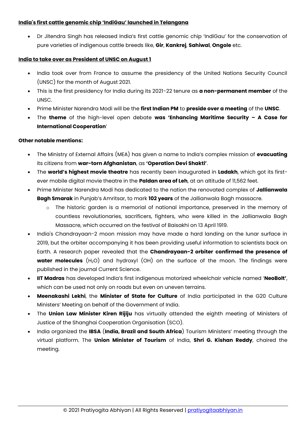#### **India's first cattle genomic chip 'IndiGau' launched in Telangana**

 Dr Jitendra Singh has released India's first cattle genomic chip 'IndiGau' for the conservation of pure varieties of indigenous cattle breeds like, **Gir**, **Kankrej**, **Sahiwal**, **Ongole** etc.

#### **India to take over as President of UNSC on August 1**

- India took over from France to assume the presidency of the United Nations Security Council (UNSC) for the month of August 2021.
- This is the first presidency for India during its 2021-22 tenure as **a non-permanent member** of the UNSC.
- Prime Minister Narendra Modi will be the **first Indian PM** to **preside over a meeting** of the **UNSC**.
- The **theme** of the high-level open debate **was 'Enhancing Maritime Security – A Case for International Cooperation**'

#### **Other notable mentions:**

- The Ministry of External Affairs (MEA) has given a name to India's complex mission of **evacuating** its citizens from **war-torn Afghanistan**, as **'Operation Devi Shakti'**.
- The **world's highest movie theatre** has recently been inaugurated in **Ladakh**, which got its firstever mobile digital movie theatre in the **Paldan area of Leh**, at an altitude of 11,562 feet.
- Prime Minister Narendra Modi has dedicated to the nation the renovated complex of **Jallianwala Bagh Smarak** in Punjab's Amritsar, to mark **102 years** of the Jallianwala Bagh massacre.
	- $\circ$  The historic garden is a memorial of national importance, preserved in the memory of countless revolutionaries, sacrificers, fighters, who were killed in the Jallianwala Bagh Massacre, which occurred on the festival of Baisakhi on 13 April 1919.
- India's Chandrayaan-2 moon mission may have made a hard landing on the lunar surface in 2019, but the orbiter accompanying it has been providing useful information to scientists back on Earth. A research paper revealed that the **Chandrayaan-2 orbiter confirmed the presence of water molecules** (H<sub>2</sub>O) and hydroxyl (OH) on the surface of the moon. The findings were published in the journal Current Science.
- **IIT Madras** has developed India's first indigenous motorized wheelchair vehicle named '**NeoBolt'**, which can be used not only on roads but even on uneven terrains.
- **Meenakashi Lekhi**, the **Minister of State for Culture** of India participated in the G20 Culture Ministers' Meeting on behalf of the Government of India.
- The **Union Law Minister Kiren Rijiju** has virtually attended the eighth meeting of Ministers of Justice of the Shanghai Cooperation Organisation (SCO).
- India organized the **IBSA** (**India, Brazil and South Africa**) Tourism Ministers' meeting through the virtual platform. The **Union Minister of Tourism** of India, **Shri G. Kishan Reddy**, chaired the meeting.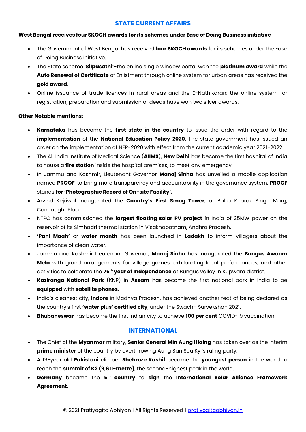#### **STATE CURRENT AFFAIRS**

#### <span id="page-5-0"></span>**West Bengal receives four SKOCH awards for its schemes under Ease of Doing Business initiative**

- The Government of West Bengal has received **four SKOCH awards** for its schemes under the Ease of Doing Business initiative.
- The State scheme '**Silpasathi'**-the online single window portal won the **platinum award** while the **Auto Renewal of Certificate** of Enlistment through online system for urban areas has received the **gold award**.
- Online issuance of trade licences in rural areas and the E-Nathikaran: the online system for registration, preparation and submission of deeds have won two silver awards.

#### **Other Notable mentions:**

- **Karnataka** has become the **first state in the country** to issue the order with regard to the **implementation** of the **National Education Policy 2020**. The state government has issued an order on the implementation of NEP-2020 with effect from the current academic year 2021-2022.
- The All India Institute of Medical Science (**AIIMS**), **New Delhi** has become the first hospital of India to house a **fire station** inside the hospital premises, to meet any emergency.
- In Jammu and Kashmir, Lieutenant Governor **Manoj Sinha** has unveiled a mobile application named **PROOF**, to bring more transparency and accountability in the governance system. **PROOF** stands **for 'Photographic Record of On-site Facility'.**
- Arvind Kejriwal inaugurated the **Country's First Smog Tower**, at Baba Kharak Singh Marg, Connaught Place.
- NTPC has commissioned the **largest floating solar PV project** in India of 25MW power on the reservoir of its Simhadri thermal station in Visakhapatnam, Andhra Pradesh.
- **'Pani Maah'** or **water month** has been launched in **Ladakh** to inform villagers about the importance of clean water.
- Jammu and Kashmir Lieutenant Governor, **Manoj Sinha** has inaugurated the **Bungus Awaam Mela** with grand arrangements for village games, exhilarating local performances, and other activities to celebrate the **75th year of Independence** at Bungus valley in Kupwara district.
- **Kaziranga National Park** (KNP) in **Assam** has become the first national park in India to be **equipped** with **satellite phones**.
- India's cleanest city, **Indore** in Madhya Pradesh, has achieved another feat of being declared as the country's first **'water plus' certified city**, under the Swachh Survekshan 2021.
- **Bhubaneswar** has become the first Indian city to achieve **100 per cent** COVID-19 vaccination.

#### **INTERNATIONAL**

- <span id="page-5-1"></span> The Chief of the **Myanmar** military, **Senior General Min Aung Hlaing** has taken over as the interim **prime minister** of the country by overthrowing Aung San Suu Kyi's ruling party.
- A 19-year old **Pakistani** climber **Shehroze Kashif** became the **youngest person** in the world to reach the **summit of K2 (9,611-metre)**, the second-highest peak in the world.
- **Germany** became the **5 th country** to **sign** the **International Solar Alliance Framework Agreement.**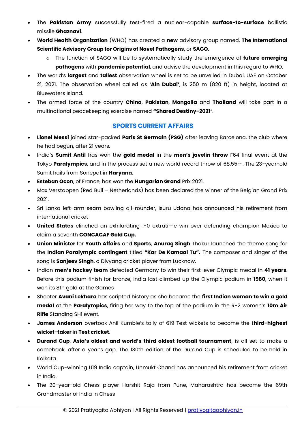- The **Pakistan Army** successfully test-fired a nuclear-capable **surface-to-surface** ballistic missile **Ghaznavi**.
- **World Health Organization** (WHO) has created a **new** advisory group named, **The International Scientific Advisory Group for Origins of Novel Pathogens**, or **SAGO**.
	- o The function of SAGO will be to systematically study the emergence of **future emerging pathogens** with **pandemic potential**, and advise the development in this regard to WHO.
- The world's **largest** and **tallest** observation wheel is set to be unveiled in Dubai, UAE on October 21, 2021. The observation wheel called as '**Ain Dubai'**, is 250 m (820 ft) in height, located at Bluewaters Island.
- The armed force of the country **China**, **Pakistan**, **Mongolia** and **Thailand** will take part in a multinational peacekeeping exercise named **"Shared Destiny-2021**".

#### **SPORTS CURRENT AFFAIRS**

- <span id="page-6-0"></span> **Lionel Messi** joined star-packed **Paris St Germain (PSG)** after leaving Barcelona, the club where he had begun, after 21 years.
- India's **Sumit Antil** has won the **gold medal** in the **men's javelin throw** F64 final event at the Tokyo **Paralympics**, and in the process set a new world record throw of 68.55m. The 23-year-old Sumit hails from Sonepat in **Haryana.**
- **Esteban Ocon**, of France, has won the **Hungarian Grand** Prix 2021.
- Max Verstappen (Red Bull Netherlands) has been declared the winner of the Belgian Grand Prix 2021.
- Sri Lanka left-arm seam bowling all-rounder, Isuru Udana has announced his retirement from international cricket
- **United States** clinched an exhilarating 1-0 extratime win over defending champion Mexico to claim a seventh **CONCACAF Gold Cup.**
- **Union Minister** for **Youth Affairs** and **Sports**, **Anurag Singh** Thakur launched the theme song for the **Indian Paralympic contingent** titled **"Kar De Kamaal Tu".** The composer and singer of the song is **Sanjeev Singh**, a Divyang cricket player from Lucknow.
- Indian **men's hockey team** defeated Germany to win their first-ever Olympic medal in **41 years**. Before this podium finish for bronze, India last climbed up the Olympic podium in **1980**, when it won its 8th gold at the Games
- Shooter **Avani Lekhara** has scripted history as she became the **first Indian woman to win a gold medal** at the **Paralympics**, firing her way to the top of the podium in the R-2 women's **10m Air Rifle** Standing SH1 event.
- **James Anderson** overtook Anil Kumble's tally of 619 Test wickets to become the t**hird-highest wicket-taker** in **Test cricket**.
- **Durand Cup**, **Asia's oldest and world's third oldest football tournament**, is all set to make a comeback, after a year's gap. The 130th edition of the Durand Cup is scheduled to be held in Kolkata.
- World Cup-winning U19 India captain, Unmukt Chand has announced his retirement from cricket in India.
- The 20-year-old Chess player Harshit Raja from Pune, Maharashtra has become the 69th Grandmaster of India in Chess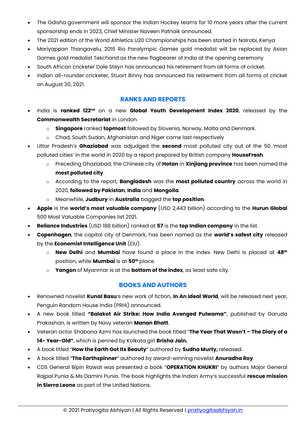- The Odisha government will sponsor the Indian Hockey teams for 10 more years after the current sponsorship ends in 2023, Chief Minister Naveen Patnaik announced.
- The 2021 edition of the World Athletics U20 Championships has been started in Nairobi, Kenya
- Mariyappan Thangavelu, 2016 Rio Paralympic Games gold medalist will be replaced by Asian Games gold medalist Tekchand as the new flagbearer of India at the opening ceremony
- South African cricketer Dale Steyn has announced his retirement from all forms of cricket.
- Indian all-rounder cricketer, Stuart Binny has announced his retirement from all forms of cricket on August 30, 2021.

#### **RANKS AND REPORTS**

- <span id="page-7-0"></span> India is **ranked 122nd** on a new **Global Youth Development Index 2020**, released by the **Commonwealth Secretariat** in London.
	- o **Singapore** ranked **topmost** followed by Slovenia, Norway, Malta and Denmark.
	- o Chad, South Sudan, Afghanistan and Niger came last respectively
- Uttar Pradesh's **Ghaziabad** was adjudged the **second** most polluted city out of the 50 'most polluted cities' in the world in 2020 by a report prepared by British company **HouseFresh**.
	- o Preceding Ghaziabad, the Chinese city of **Hotan** in **Xinjiang province** has been named the **most polluted city**.
	- o According to the report, **Bangladesh** was the **most polluted country** across the world in 2020, **followed by Pakistan**, **India** and **Mongolia**.
	- o Meanwhile, **Judbury** in **Australia** bagged the **top position**.
- **Apple** is the **world's most valuable company** (USD 2,443 billion) according to the **Hurun Global** 500 Most Valuable Companies list 2021.
- **Reliance Industries** (USD 188 billion) ranked at **57** is the **top Indian company** in the list.
- **Copenhagen**, the capital city of Denmark, has been named as the **world's safest city** released by the **Economist Intelligence Unit** (EIU).
	- o **New Delhi** and **Mumbai** have found a place in the index. New Delhi is placed at **48th** position, while **Mumbai** is at **50th** place.
	- o **Yangon** of Myanmar is at the **bottom of the index**, as least safe city.

#### **BOOKS AND AUTHORS**

- <span id="page-7-1"></span> Renowned novelist **Kunal Basu**'s new work of fiction, **In An Ideal World**, will be released next year, Penguin Random House India (PRHI) announced.
- A new book titled **"Balakot Air Strike: How India Avenged Pulwama"**, published by Garuda Prakashan, is written by Navy veteran **Manan Bhatt**.
- Veteran actor Shabana Azmi has launched the book titled "**The Year That Wasn't – The Diary of a 14- Year-Old"**, which is penned by Kolkata girl **Brisha Jain.**
- A book titled "**How the Earth Got Its Beauty**" authored by **Sudha Murty,** released.
- A book titled "**The Earthspinner**" authored by award-winning novelist **Anuradha Roy**.
- CDS General Bipin Rawat was presented a book "**OPERATION KHUKRI**" by authors Major General Rajpal Punia & Ms Damini Punia. The book highlights the Indian Army's successful **rescue mission in Sierra Leone** as part of the United Nations.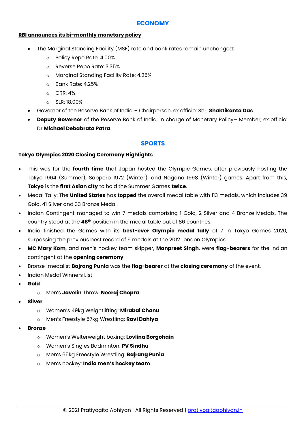#### **ECONOMY**

#### <span id="page-8-0"></span>**RBI announces its bi-monthly monetary policy**

- The Marginal Standing Facility (MSF) rate and bank rates remain unchanged:
	- o Policy Repo Rate: 4.00%
	- o Reverse Repo Rate: 3.35%
	- o Marginal Standing Facility Rate: 4.25%
	- o Bank Rate: 4.25%
	- o CRR: 4%
	- o SLR: 18.00%
- Governor of the Reserve Bank of India Chairperson, ex officio: Shri **Shaktikanta Das**.
- **Deputy Governor** of the Reserve Bank of India, in charge of Monetary Policy– Member, ex officio: Dr **Michael Debabrata Patra**.

#### **SPORTS**

#### <span id="page-8-1"></span>**Tokyo Olympics 2020 Closing Ceremony Highlights**

- This was for the **fourth time** that Japan hosted the Olympic Games, after previously hosting the Tokyo 1964 (Summer), Sapporo 1972 (Winter), and Nagano 1998 (Winter) games. Apart from this, **Tokyo** is the **first Asian city** to hold the Summer Games **twice**.
- Medal Tally: The **United States** has **topped** the overall medal table with 113 medals, which includes 39 Gold, 41 Silver and 33 Bronze Medal.
- Indian Contingent managed to win 7 medals comprising 1 Gold, 2 Silver and 4 Bronze Medals. The country stood at the **48th** position in the medal table out of 86 countries.
- India finished the Games with its **best-ever Olympic medal tally** of 7 in Tokyo Games 2020, surpassing the previous best record of 6 medals at the 2012 London Olympics.
- **MC Mary Kom**, and men's hockey team skipper, **Manpreet Singh**, were **flag-bearers** for the Indian contingent at the **opening ceremony**.
- Bronze-medalist **Bajrang Punia** was the **flag-bearer** at the **closing ceremony** of the event.
- Indian Medal Winners List
- **Gold**
	- o Men's **Javelin** Throw: **Neeraj Chopra**
- **Silver**
	- o Women's 49kg Weightlifting: **Mirabai Chanu**
	- o Men's Freestyle 57kg Wrestling: **Ravi Dahiya**
- **Bronze**
	- o Women's Welterweight boxing: **Lovlina Borgohain**
	- o Women's Singles Badminton: **PV Sindhu**
	- o Men's 65kg Freestyle Wrestling: **Bajrang Punia**
	- o Men's hockey: **India men's hockey team**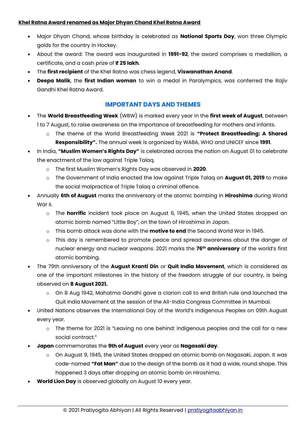#### **Khel Ratna Award renamed as Major Dhyan Chand Khel Ratna Award**

- Major Dhyan Chand, whose birthday is celebrated as **National Sports Day**, won three Olympic golds for the country in Hockey.
- About the award: The award was inaugurated in **1991-92**, the award comprises a medallion, a certificate, and a cash prize of **₹ 25 lakh**.
- The **first recipient** of the Khel Ratna was chess legend, **Viswanathan Anand**.
- **Deepa Malik**, the **first Indian woman** to win a medal in Paralympics, was conferred the Rajiv Gandhi Khel Ratna Award.

#### **IMPORTANT DAYS AND THEMES**

- <span id="page-9-0"></span> The **World Breastfeeding Week** (WBW) is marked every year in the **first week of August**, between 1 to 7 August, to raise awareness on the importance of breastfeeding for mothers and infants.
	- o The theme of the World Breastfeeding Week 2021 is **"Protect Breastfeeding: A Shared Responsibility".** The annual week is organized by WABA, WHO and UNICEF since **1991**.
- In India, **"Muslim Women's Rights Day"** is celebrated across the nation on August 01 to celebrate the enactment of the law against Triple Talaq.
	- o The first Muslim Women's Rights Day was observed in **2020**.
	- o The Government of India enacted the law against Triple Talaq on **August 01, 2019** to make the social malpractice of Triple Talaq a criminal offence.
- Annually **6th of August** marks the anniversary of the atomic bombing in **Hiroshima** during World War II.
	- o The **horrific** incident took place on August 6, 1945, when the United States dropped an atomic bomb named "Little Boy", on the town of Hiroshima in Japan.
	- o This bomb attack was done with the **motive to end** the Second World War in 1945.
	- o This day is remembered to promote peace and spread awareness about the danger of nuclear energy and nuclear weapons. 2021 marks the **76th anniversary** of the world's first atomic bombing.
- The 79th anniversary of the **August Kranti Din** or **Quit India Movement**, which is considered as one of the important milestones in the history of the freedom struggle of our country, is being observed on **8 August 2021.**
	- o On 8 Aug 1942, Mahatma Gandhi gave a clarion call to end British rule and launched the Quit India Movement at the session of the All-India Congress Committee in Mumbai.
- United Nations observes the International Day of the World's Indigenous Peoples on 09th August every year.
	- o The theme for 2021 is "Leaving no one behind: Indigenous peoples and the call for a new social contract."
- **Japan** commemorates the **9th of August** every year as **Nagasaki day**.
	- $\circ$  On August 9, 1945, the United States dropped an atomic bomb on Nagasaki, Japan. It was code-named **"Fat Man"** due to the design of the bomb as it had a wide, round shape. This happened 3 days after dropping an atomic bomb on Hiroshima.
- **World Lion Day** is observed globally on August 10 every year.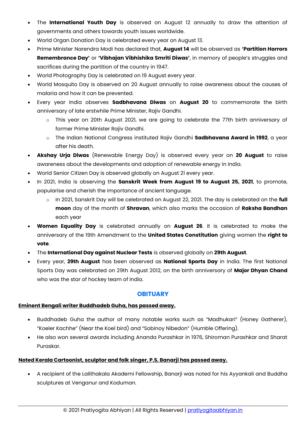- The **International Youth Day** is observed on August 12 annually to draw the attention of governments and others towards youth issues worldwide.
- World Organ Donation Day is celebrated every year on August 13.
- Prime Minister Narendra Modi has declared that, **August 14** will be observed as **'Partition Horrors Remembrance Day'** or **'Vibhajan Vibhishika Smriti Diwas'**, in memory of people's struggles and sacrifices during the partition of the country in 1947.
- World Photography Day is celebrated on 19 August every year.
- World Mosquito Day is observed on 20 August annually to raise awareness about the causes of malaria and how it can be prevented.
- Every year India observes **Sadbhavana Diwas** on **August 20** to commemorate the birth anniversary of late erstwhile Prime Minister, Rajiv Gandhi.
	- o This year on 20th August 2021, we are going to celebrate the 77th birth anniversary of former Prime Minister Rajiv Gandhi.
	- o The Indian National Congress instituted Rajiv Gandhi **Sadbhavana Award in 1992**, a year after his death.
- **Akshay Urja Diwas** (Renewable Energy Day) is observed every year on **20 August** to raise awareness about the developments and adoption of renewable energy in India.
- World Senior Citizen Day is observed globally on August 21 every year.
- In 2021, India is observing the **Sanskrit Week from August 19 to August 25, 2021**, to promote, popularise and cherish the importance of ancient language.
	- o In 2021, Sanskrit Day will be celebrated on August 22, 2021. The day is celebrated on the **full moon** day of the month of **Shravan**, which also marks the occasion of **Raksha Bandhan** each year
- **Women Equality Day** is celebrated annually on **August 26**. It is celebrated to make the anniversary of the 19th Amendment to the **United States Constitution** giving women the **right to vote**.
- The **International Day against Nuclear Tests** is observed globally on **29th August**.
- Every year, **29th August** has been observed as **National Sports Day** in India. The first National Sports Day was celebrated on 29th August 2012, on the birth anniversary of **Major Dhyan Chand** who was the star of hockey team of India.

#### **OBITUARY**

#### <span id="page-10-0"></span>**Eminent Bengali writer Buddhadeb Guha, has passed away.**

- Buddhadeb Guha the author of many notable works such as "Madhukari" (Honey Gatherer), "Koeler Kachhe" (Near the Koel bird) and "Sobinoy Nibedon" (Humble Offering).
- He also won several awards including Ananda Purashkar in 1976, Shiroman Purashkar and Sharat Puraskar.

#### **Noted Kerala Cartoonist, sculptor and folk singer, P.S. Banarji has passed away.**

 A recipient of the Lalithakala Akademi Fellowship, Banarji was noted for his Ayyankali and Buddha sculptures at Venganur and Koduman.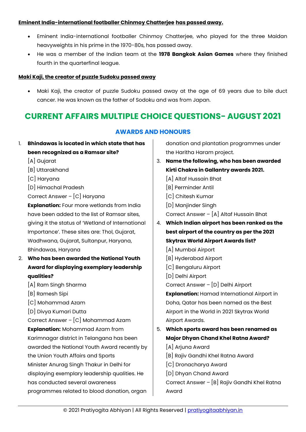#### **Eminent India-international footballer Chinmoy Chatterjee has passed away.**

- Eminent India-international footballer Chinmoy Chatterjee, who played for the three Maidan heavyweights in his prime in the 1970-80s, has passed away.
- He was a member of the Indian team at the **1978 Bangkok Asian Games** where they finished fourth in the quarterfinal league.

#### **Maki Kaji, the creator of puzzle Sudoku passed away**

 Maki Kaji, the creator of puzzle Sudoku passed away at the age of 69 years due to bile duct cancer. He was known as the father of Sodoku and was from Japan.

#### <span id="page-11-1"></span><span id="page-11-0"></span>**CURRENT AFFAIRS MULTIPLE CHOICE QUESTIONS- AUGUST 2021**

#### **AWARDS AND HONOURS**

- 1. **Bhindawas is located in which state that has been recognized as a Ramsar site?**
	- [A] Gujarat
	- [B] Uttarakhand
	- [C] Haryana
	- [D] Himachal Pradesh

Correct Answer – [C] Haryana

**Explanation:** Four more wetlands from India have been added to the list of Ramsar sites, giving it the status of 'Wetland of International Importance'. These sites are: Thol, Gujarat, Wadhwana, Gujarat, Sultanpur, Haryana, Bhindawas, Haryana

- 2. **Who has been awarded the National Youth Award for displaying exemplary leadership qualities?**
	- [A] Ram Singh Sharma
	- [B] Ramesh Sipi
	- [C] Mohammad Azam
	- [D] Divya Kumari Dutta

Correct Answer – [C] Mohammad Azam

**Explanation:** Mohammad Azam from Karimnagar district in Telangana has been awarded the National Youth Award recently by the Union Youth Affairs and Sports Minister Anurag Singh Thakur in Delhi for displaying exemplary leadership qualities. He has conducted several awareness programmes related to blood donation, organ

donation and plantation programmes under the Haritha Haram project.

- 3. **Name the following, who has been awarded Kirti Chakra in Gallantry awards 2021.**
	- [A] Altaf Hussain Bhat
	- [B] Perminder Antil
	- [C] Chitesh Kumar
	- [D] Manjinder Singh

Correct Answer – [A] Altaf Hussain Bhat

- 4. **Which Indian airport has been ranked as the best airport of the country as per the 2021 Skytrax World Airport Awards list?**
	- [A] Mumbai Airport
	- [B] Hyderabad Airport
	- [C] Bengaluru Airport
	- [D] Delhi Airport

Correct Answer – [D] Delhi Airport

**Explanation:** Hamad International Airport in Doha, Qatar has been named as the Best Airport in the World in 2021 Skytrax World Airport Awards.

- 5. **Which sports award has been renamed as Major Dhyan Chand Khel Ratna Award?**
	- [A] Arjuna Award
	- [B] Rajiv Gandhi Khel Ratna Award
	- [C] Dronacharya Award
	- [D] Dhyan Chand Award

Correct Answer – [B] Rajiv Gandhi Khel Ratna Award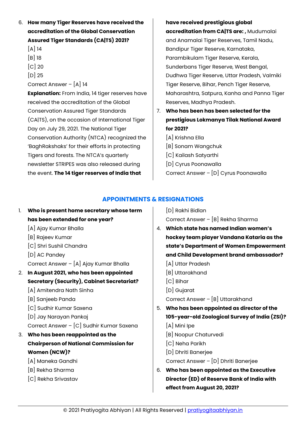- 6. **How many Tiger Reserves have received the accreditation of the Global Conservation Assured Tiger Standards (CA|TS) 2021?**
	- $[A]$  14
	- [B] 18
	- $[C]$  20
	- [D] 25

Correct Answer – [A] 14

**Explanation:** From India, 14 tiger reserves have received the accreditation of the Global Conservation Assured Tiger Standards (CA|TS), on the occasion of International Tiger Day on July 29, 2021. The National Tiger Conservation Authority (NTCA) recognized the 'BaghRakshaks' for their efforts in protecting Tigers and forests. The NTCA's quarterly newsletter STRIPES was also released during the event. **The 14 tiger reserves of India that** 

#### **have received prestigious global**

**accreditation from CA|TS are: ,** Mudumalai and Anamalai Tiger Reserves, Tamil Nadu, Bandipur Tiger Reserve, Karnataka, Parambikulam Tiger Reserve, Kerala, Sunderbans Tiger Reserve, West Bengal, Dudhwa Tiger Reserve, Uttar Pradesh, Valmiki Tiger Reserve, Bihar, Pench Tiger Reserve, Maharashtra, Satpura, Kanha and Panna Tiger Reserves, Madhya Pradesh.

- 7. **Who has been has been selected for the prestigious Lokmanya Tilak National Award for 2021?**
	- [A] Krishna Ella
	- [B] Sonam Wangchuk
	- [C] Kailash Satyarthi
	- [D] Cyrus Poonawalla
	- Correct Answer [D] Cyrus Poonawalla

#### **APPOINTMENTS & RESIGNATIONS**

- <span id="page-12-0"></span>1. **Who is present home secretary whose term has been extended for one year?**
	- [A] Ajay Kumar Bhalla
	- [B] Rajeev Kumar
	- [C] Shri Sushil Chandra
	- [D] AC Pandey

Correct Answer – [A] Ajay Kumar Bhalla

- 2. **In August 2021, who has been appointed Secretary (Security), Cabinet Secretariat?**
	- [A] Amitendra Nath Sinha
	- [B] Sanjeeb Panda
	- [C] Sudhir Kumar Saxena
	- [D] Jay Narayan Pankaj

Correct Answer – [C] Sudhir Kumar Saxena

#### 3. **Who has been reappointed as the Chairperson of National Commission for Women (NCW)?**

- [A] Maneka Gandhi
- [B] Rekha Sharma
- [C] Rekha Srivastav

[D] Rakhi Bidlan Correct Answer – [B] Rekha Sharma

- 4. **Which state has named Indian women's hockey team player Vandana Kataria as the state's Department of Women Empowerment and Child Development brand ambassador?**
	- [A] Uttar Pradesh
	- [B] Uttarakhand
	- [C] Bihar
	- [D] Gujarat

Correct Answer – [B] Uttarakhand

- 5. **Who has been appointed as director of the 105-year-old Zoological Survey of India (ZSI)?**
	- [A] Mini Ipe
	- [B] Noopur Chaturvedi
	- [C] Neha Parikh
	- [D] Dhriti Banerjee

Correct Answer – [D] Dhriti Banerjee

6. **Who has been appointed as the Executive Director (ED) of Reserve Bank of India with effect from August 20, 2021?**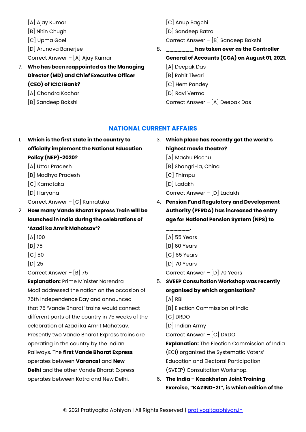- [A] Ajay Kumar
- [B] Nitin Chugh
- [C] Upma Goel
- [D] Arunava Banerjee
- Correct Answer [A] Ajay Kumar
- 7. **Who has been reappointed as the Managing Director (MD) and Chief Executive Officer (CEO) of ICICI Bank?**
	- [A] Chandra Kochar
	- [B] Sandeep Bakshi
- [C] Anup Bagchi
- [D] Sandeep Batra

Correct Answer – [B] Sandeep Bakshi

- 8. **\_\_\_\_\_\_\_ has taken over as the Controller General of Accounts (CGA) on August 01, 2021.**
	- [A] Deepak Das
	- [B] Rohit Tiwari
	- [C] Hem Pandey
	- [D] Ravi Verma
	- Correct Answer [A] Deepak Das

#### **NATIONAL CURRENT AFFAIRS**

- <span id="page-13-0"></span>1. **Which is the first state in the country to officially implement the National Education Policy (NEP)-2020?**
	- [A] Uttar Pradesh
	- [B] Madhya Pradesh
	- [C] Karnataka
	- [D] Haryana
	- Correct Answer [C] Karnataka
- 2. **How many Vande Bharat Express Train will be launched in India during the celebrations of 'Azadi ka Amrit Mahotsav'?**
	- [A] 100
	- [B] 75
	- $[C]$  50
	- [D] 25

Correct Answer – [B] 75

**Explanation:** Prime Minister Narendra Modi addressed the nation on the occasion of 75th Independence Day and announced that 75 'Vande Bharat' trains would connect different parts of the country in 75 weeks of the celebration of Azadi ka Amrit Mahotsav. Presently two Vande Bharat Express trains are operating in the country by the Indian Railways. The **first Vande Bharat Express** operates between **Varanasi** and **New Delhi** and the other Vande Bharat Express operates between Katra and New Delhi.

- 3. **Which place has recently got the world's highest movie theatre?** [A] Machu Picchu
	- [B] Shangri-la, China
	- [C] Thimpu
	- [D] Ladakh

Correct Answer – [D] Ladakh

- 4. **Pension Fund Regulatory and Development Authority (PFRDA) has increased the entry age for National Pension System (NPS) to** 
	- **\_\_\_\_\_\_.**
	- [A] 55 Years [B] 60 Years
	- [C] 65 Years
	- [D] 70 Years
	- Correct Answer [D] 70 Years
- 5. **SVEEP Consultation Workshop was recently organised by which organisation?**
	- [A] RBI
	- [B] Election Commission of India
	- [C] DRDO
	- [D] Indian Army
	- Correct Answer [C] DRDO

**Explanation:** The Election Commission of India (ECI) organized the Systematic Voters' Education and Electoral Participation (SVEEP) Consultation Workshop.

6. **The India – Kazakhstan Joint Training Exercise, "KAZIND-21", is which edition of the**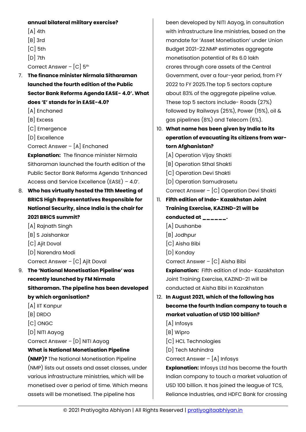#### **annual bilateral military exercise?**

- $[A]$  4th
- [B] 3rd
- [C] 5th
- [D] 7th
- Correct Answer [C] 5th
- 7. **The finance minister Nirmala Sitharaman launched the fourth edition of the Public Sector Bank Reforms Agenda EASE- 4.0'. What does 'E' stands for in EASE-4.0?**
	- [A] Enchaned
	- [B] Excess
	- [C] Emergence
	- [D] Excellence
	- Correct Answer [A] Enchaned

**Explanation:** The finance minister Nirmala Sitharaman launched the fourth edition of the Public Sector Bank Reforms Agenda 'Enhanced Access and Service Excellence (EASE) – 4.0'.

- 8. **Who has virtually hosted the 11th Meeting of BRICS High Representatives Responsible for National Security, since India is the chair for 2021 BRICS summit?**
	- [A] Rajnath Singh
	- [B] S Jaishankar
	- [C] Ajit Doval
	- [D] Narendra Modi
	- Correct Answer [C] Ajit Doval
- 9. **The 'National Monetisation Pipeline' was recently launched by FM Nirmala Sitharaman. The pipeline has been developed by which organisation?**
	- [A] IIT Kanpur
	- [B] DRDO
	- [C] ONGC
	- [D] NITI Aayog
	- Correct Answer [D] NITI Aayog

#### **What is National Monetisation Pipeline**

**(NMP)?** The National Monetisation Pipeline (NMP) lists out assets and asset classes, under various infrastructure ministries, which will be monetised over a period of time. Which means assets will be monetised. The pipeline has

been developed by NITI Aayog, in consultation with infrastructure line ministries, based on the mandate for 'Asset Monetisation' under Union Budget 2021-22.NMP estimates aggregate monetisation potential of Rs 6.0 lakh crores through core assets of the Central Government, over a four-year period, from FY 2022 to FY 2025.The top 5 sectors capture about 83% of the aggregate pipeline value. These top 5 sectors include- Roads (27%) followed by Railways (25%), Power (15%), oil & gas pipelines (8%) and Telecom (6%).

10. **What name has been given by India to its operation of evacuating its citizens from wartorn Afghanistan?**

[A] Operation Vijay Shakti [B] Operation Sthal Shakti [C] Operation Devi Shakti [D] Operation Samudrasetu Correct Answer – [C] Operation Devi Shakti 11. **Fifth edition of Indo- Kazakhstan Joint** 

- **Training Exercise, KAZIND-21 will be conducted at \_\_\_\_\_\_.**
	- [A] Dushanbe
	- [B] Jodhpur
	- [C] Aisha Bibi
	- [D] Konday

Correct Answer – [C] Aisha Bibi

**Explanation:** Fifth edition of Indo- Kazakhstan Joint Training Exercise, KAZIND-21 will be conducted at Aisha Bibi in Kazakhstan

- 12. **In August 2021, which of the following has become the fourth Indian company to touch a market valuation of USD 100 billion?**
	- [A] Infosys
	- [B] Wipro
	- [C] HCL Technologies
	- [D] Tech Mahindra
	- Correct Answer [A] Infosys

**Explanation:** Infosys Ltd has become the fourth Indian company to touch a market valuation of USD 100 billion. It has joined the league of TCS, Reliance Industries, and HDFC Bank for crossing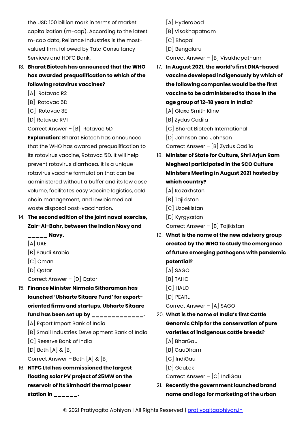the USD 100 billion mark in terms of market capitalization (m-cap). According to the latest m-cap data, Reliance Industries is the mostvalued firm, followed by Tata Consultancy Services and HDFC Bank.

13. **Bharat Biotech has announced that the WHO has awarded prequalification to which of the following rotavirus vaccines?**

- [A] Rotavac R2
- [B] Rotavac 5D
- [C] Rotavac 3E
- [D] Rotavac RV1

Correct Answer – [B] Rotavac 5D

**Explanation:** Bharat Biotech has announced that the WHO has awarded prequalification to its rotavirus vaccine, Rotavac 5D. It will help prevent rotavirus diarrhoea. It is a unique rotavirus vaccine formulation that can be administered without a buffer and its low dose volume, facilitates easy vaccine logistics, cold chain management, and low biomedical waste disposal post-vaccination.

- 14. **The second edition of the joint naval exercise, Zair-Al-Bahr, between the Indian Navy and** 
	- **\_\_\_\_\_ Navy.**
	- [A] UAE
	- [B] Saudi Arabia
	- [C] Oman
	- [D] Qatar
	- Correct Answer [D] Qatar
- 15. **Finance Minister Nirmala Sitharaman has launched 'Ubharte Sitaare Fund' for exportoriented firms and startups. Ubharte Sitaare fund has been set up by \_\_\_\_\_\_\_\_\_\_\_\_\_.**
	- [A] Export Import Bank of India
	- [B] Small Industries Development Bank of India
	- [C] Reserve Bank of India
	- $[D]$  Both  $[A]$  &  $[B]$
	- Correct Answer Both  $[A]$  &  $[B]$
- 16. **NTPC Ltd has commissioned the largest floating solar PV project of 25MW on the reservoir of its Simhadri thermal power station in \_\_\_\_\_\_.**
- [A] Hyderabad
- [B] Visakhapatnam
- [C] Bhopal
- [D] Bengaluru

Correct Answer – [B] Visakhapatnam

- 17. **In August 2021, the world's first DNA-based vaccine developed indigenously by which of the following companies would be the first vaccine to be administered to those in the age group of 12-18 years in India?**
	- [A] Glaxo Smith Kline
	- [B] Zydus Cadila
	- [C] Bharat Biotech International
	- [D] Johnson and Johnson

Correct Answer – [B] Zydus Cadila

- 18. **Minister of State for Culture, Shri Arjun Ram Meghwal participated in the SCO Culture Ministers Meeting in August 2021 hosted by which country?**
	- [A] Kazakhstan
	- [B] Tajikistan
	- [C] Uzbekistan
	- [D] Kyrgyzstan
	- Correct Answer [B] Tajikistan
- 19. **What is the name of the new advisory group created by the WHO to study the emergence of future emerging pathogens with pandemic potential?**
	- [A] SAGO
	- [B] TAHO
	- [C] HALO
	- [D] PEARL

Correct Answer – [A] SAGO

- 20. **What is the name of India's first Cattle Genomic Chip for the conservation of pure varieties of indigenous cattle breeds?**
	- [A] BharGau
	- [B] GauDham
	- [C] IndiGau
	- [D] GauLok

Correct Answer – [C] IndiGau

21. **Recently the government launched brand name and logo for marketing of the urban**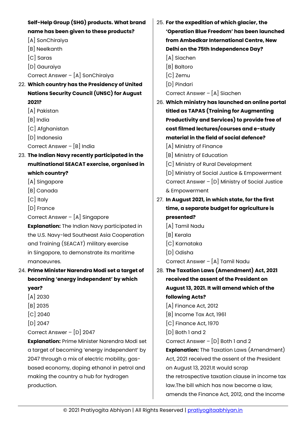| Self-Help Group (SHG) products. What brand           | 25. For the expedition of which glacier, the      |
|------------------------------------------------------|---------------------------------------------------|
| name has been given to these products?               | 'Operation Blue Freedom' has been launched        |
| [A] SonChiraiya                                      | from Ambedkar International Centre, New           |
| [B] Neelkanth                                        | Delhi on the 75th Independence Day?               |
| [C] Saras                                            | [A] Siachen                                       |
| [D] Gauraiya                                         | [B] Baltoro                                       |
| Correct Answer - [A] SonChiraiya                     | [C] Zemu                                          |
| 22. Which country has the Presidency of United       | [D] Pindari                                       |
| <b>Nations Security Council (UNSC) for August</b>    | Correct Answer - [A] Siachen                      |
| 2021?                                                | 26. Which ministry has launched an online portal  |
| [A] Pakistan                                         | titled as TAPAS (Training for Augmenting          |
| $[B]$ India                                          | Productivity and Services) to provide free of     |
| [C] Afghanistan                                      | cost filmed lectures/courses and e-study          |
| [D] Indonesia                                        | material in the field of social defence?          |
| Correct Answer - [B] India                           | [A] Ministry of Finance                           |
| 23. The Indian Navy recently participated in the     | [B] Ministry of Education                         |
| multinational SEACAT exercise, organised in          | [C] Ministry of Rural Development                 |
| which country?                                       | [D] Ministry of Social Justice & Empowerment      |
| [A] Singapore                                        | Correct Answer $-[D]$ Ministry of Social Justice  |
| [B] Canada                                           | & Empowerment                                     |
| [C] Italy                                            | 27. In August 2021, in which state, for the first |
| [D] France                                           | time, a separate budget for agriculture is        |
| Correct Answer - [A] Singapore                       | presented?                                        |
| <b>Explanation:</b> The Indian Navy participated in  | [A] Tamil Nadu                                    |
| the U.S. Navy-led Southeast Asia Cooperation         | [B] Kerala                                        |
| and Training (SEACAT) military exercise              | [C] Karnataka                                     |
| in Singapore, to demonstrate its maritime            | [D] Odisha                                        |
| manoeuvres.                                          | Correct Answer - [A] Tamil Nadu                   |
| 24. Prime Minister Narendra Modi set a target of     | 28. The Taxation Laws (Amendment) Act, 2021       |
| becoming 'energy independent' by which               | received the assent of the President on           |
| year?                                                | August 13, 2021. It will amend which of the       |
| $[A]$ 2030                                           | following Acts?                                   |
| $[B]$ 2035                                           | $[A]$ Finance Act, 2012                           |
| $[C]$ 2040                                           | [B] Income Tax Act, 1961                          |
| $[D]$ 2047                                           | $[C]$ Finance Act, 1970                           |
| Correct Answer - [D] 2047                            | $[D]$ Both 1 and 2                                |
| <b>Explanation: Prime Minister Narendra Modi set</b> | Correct Answer $ [D]$ Both 1 and 2                |
| a target of becoming 'energy independent' by         | <b>Explanation:</b> The Taxation Laws (Amendment) |
| 2047 through a mix of electric mobility, gas-        | Act, 2021 received the assent of the President    |
| based economy, doping ethanol in petrol and          | on August 13, 2021.It would scrap                 |
| making the country a hub for hydrogen                | the retrospective taxation clause in income tax   |
| production.                                          | law. The bill which has now become a law,         |
|                                                      | amends the Finance Act, 2012, and the Income      |
|                                                      |                                                   |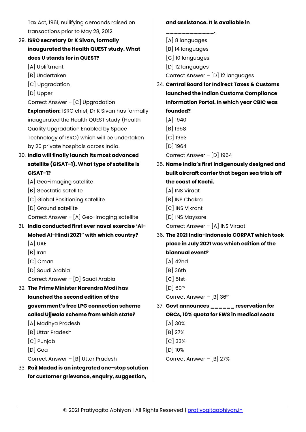Tax Act, 1961, nullifying demands raised on transactions prior to May 28, 2012.

- 29. **ISRO secretary Dr K Sivan, formally inaugurated the Health QUEST study. What does U stands for in QUEST?**
	- [A] Upliftment
	- [B] Undertaken
	- [C] Upgradation
	- [D] Upper

Correct Answer – [C] Upgradation **Explanation:** ISRO chief, Dr K Sivan has formally inaugurated the Health QUEST study (Health Quality Upgradation Enabled by Space Technology of ISRO) which will be undertaken by 20 private hospitals across India.

- 30. **India will finally launch its most advanced satellite (GiSAT-1). What type of satellite is GiSAT-1?**
	- [A] Geo-imaging satellite
	- [B] Geostatic satellite
	- [C] Global Positioning satellite
	- [D] Ground satellite

Correct Answer – [A] Geo-imaging satellite

- 31. **India conducted first ever naval exercise 'Al-Mohed Al-Hindi 2021″ with which country?**
	- [A] UAE
	- [B] Iran
	- [C] Oman
	- [D] Saudi Arabia

Correct Answer – [D] Saudi Arabia

- 32. **The Prime Minister Narendra Modi has launched the second edition of the government's free LPG connection scheme called Ujjwala scheme from which state?**
	- [A] Madhya Pradesh
	- [B] Uttar Pradesh
	- [C] Punjab
	- [D] Goa
	- Correct Answer [B] Uttar Pradesh
- 33. **Rail Madad is an integrated one-stop solution for customer grievance, enquiry, suggestion,**

**and assistance. It is available in** 

- **\_\_\_\_\_\_\_\_\_\_\_\_.** [A] 8 languages [B] 14 languages [C] 10 languages [D] 12 languages Correct Answer – [D] 12 languages 34. **Central Board for Indirect Taxes & Customs launched the Indian Customs Compliance Information Portal. In which year CBIC was founded?** [A] 1940 [B] 1958 [C] 1993 [D] 1964 Correct Answer – [D] 1964 35. **Name India's first indigenously designed and built aircraft carrier that began sea trials off the coast of Kochi.** [A] INS Viraat [B] INS Chakra [C] INS Vikrant [D] INS Maysore Correct Answer – [A] INS Viraat 36. **The 2021 India-Indonesia CORPAT which took place in July 2021 was which edition of the biannual event?**  $[A]$  42nd [B] 36th [C] 51st  $[D]$  60<sup>th</sup> Correct Answer – [B] 36th 37. **Govt announces \_\_\_\_\_\_ reservation for OBCs, 10% quota for EWS in medical seats** [A] 30% [B] 27% [C] 33% [D] 10%
	- Correct Answer [B] 27%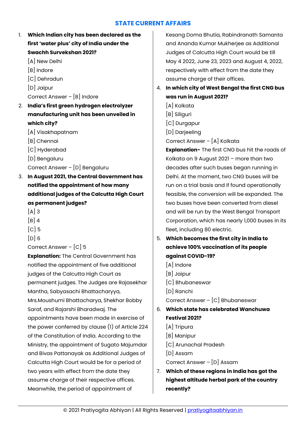#### **STATE CURRENT AFFAIRS**

- <span id="page-18-0"></span>1. **Which Indian city has been declared as the first 'water plus' city of India under the Swachh Survekshan 2021?**
	- [A] New Delhi
	- [B] Indore
	- [C] Dehradun
	- [D] Jaipur
	- Correct Answer [B] Indore
- 2. **India's first green hydrogen electrolyzer manufacturing unit has been unveiled in which city?**
	- [A] Visakhapatnam
	- [B] Chennai
	- [C] Hyderabad
	- [D] Bengaluru
	- Correct Answer [D] Bengaluru
- 3. **In August 2021, the Central Government has notified the appointment of how many additional judges of the Calcutta High Court as permanent judges?**
	- $[A]$  3
	- $[B]$  4
	- $|C|$  5
	- $[D]$  6
	- Correct Answer [C] 5

**Explanation:** The Central Government has notified the appointment of five additional judges of the Calcutta High Court as permanent judges. The Judges are Rajasekhar Mantha, Sabyasachi Bhattacharyya, Mrs.Moushumi Bhattacharya, Shekhar Bobby Saraf, and Rajarshi Bharadwaj. The appointments have been made in exercise of the power conferred by clause (1) of Article 224 of the Constitution of India. According to the Ministry, the appointment of Sugato Majumdar and Bivas Pattanayak as Additional Judges of Calcutta High Court would be for a period of two years with effect from the date they assume charge of their respective offices. Meanwhile, the period of appointment of

Kesang Doma Bhutia, Rabindranath Samanta and Ananda Kumar Mukherjee as Additional Judges of Calcutta High Court would be till May 4 2022, June 23, 2023 and August 4, 2022, respectively with effect from the date they assume charge of their offices.

- 4. **In which city of West Bengal the first CNG bus was run in August 2021?**
	- [A] Kolkata [B] Siliguri [C] Durgapur
	- [D] Darjeeling Correct Answer – [A] Kolkata

**Explanation-** The first CNG bus hit the roads of Kolkata on 9 August 2021 – more than two decades after such buses began running in Delhi. At the moment, two CNG buses will be run on a trial basis and if found operationally feasible, the conversion will be expanded. The two buses have been converted from diesel and will be run by the West Bengal Transport Corporation, which has nearly 1,000 buses in its fleet, including 80 electric.

- 5. **Which becomes the first city in India to achieve 100% vaccination of its people against COVID-19?**
	- [A] Indore
	- [B] Jaipur
	- [C] Bhubaneswar
	- [D] Ranchi

Correct Answer – [C] Bhubaneswar

- 6. **Which state has celebrated Wanchuwa Festival 2021?**
	- [A] Tripura
	- [B] Manipur
	- [C] Arunachal Pradesh
	- [D] Assam

Correct Answer – [D] Assam

7. **Which of these regions in India has got the highest altitude herbal park of the country recently?**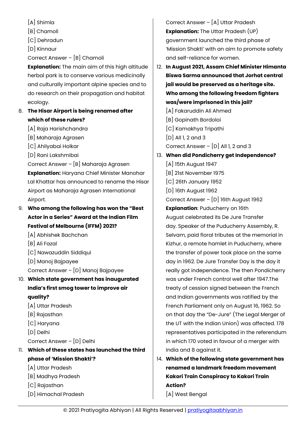- [A] Shimla
- [B] Chamoli
- [C] Dehradun
- [D] Kinnaur
- Correct Answer [B] Chamoli

**Explanation:** The main aim of this high altitude herbal park is to conserve various medicinally and culturally important alpine species and to do research on their propagation and habitat ecology.

- 8. **The Hisar Airport is being renamed after which of these rulers?**
	- [A] Raja Harishchandra
	- [B] Maharaja Agrasen
	- [C] Ahilyabai Holkar
	- [D] Rani Lakshmibai

Correct Answer – [B] Maharaja Agrasen **Explanation:** Haryana Chief Minister Manohar Lal Khattar has announced to rename the Hisar Airport as Maharaja Agrasen International Airport.

- 9. **Who among the following has won the "Best Actor in a Series" Award at the Indian Film Festival of Melbourne (IFFM) 2021?**
	- [A] Abhishek Bachchan
	- [B] Ali Fazal
	- [C] Nawazuddin Siddiqui
	- [D] Manoj Bajpayee
	- Correct Answer [D] Manoj Bajpayee
- 10. **Which state government has inaugurated India's first smog tower to improve air quality?**
	- [A] Uttar Pradesh
	- [B] Rajasthan
	- [C] Haryana
	- [D] Delhi
	- Correct Answer [D] Delhi
- 11. **Which of these states has launched the third phase of 'Mission Shakti'?**
	- [A] Uttar Pradesh
	- [B] Madhya Pradesh
	- [C] Rajasthan
	- [D] Himachal Pradesh

Correct Answer – [A] Uttar Pradesh **Explanation:** The Uttar Pradesh (UP) government launched the third phase of 'Mission Shakti' with an aim to promote safety and self-reliance for women.

- 12. **In August 2021, Assam Chief Minister Himanta Biswa Sarma announced that Jorhat central jail would be preserved as a heritage site. Who among the following freedom fighters was/were imprisoned in this jail?**
	- [A] Fakaruddin Ali Ahmed
	- [B] Gopinath Bordoloi
	- [C] Kamakhya Tripathi
	- [D] All 1, 2 and 3
	- Correct Answer  $[D]$  All 1, 2 and 3

#### 13. **When did Pondicherry get Independence?**

- [A] 15th August 1947 [B] 21st November 1975 [C] 26th January 1952 [D] 16th August 1962 Correct Answer – [D] 16th August 1962 **Explanation**: Puducherry on 16th August celebrated its De Jure Transfer day. Speaker of the Puducherry Assembly, R. Selvam, paid floral tributes at the memorial in Kizhur, a remote hamlet in Puducherry, where the transfer of power took place on the same day in 1962. De Jure Transfer Day is the day it really got independence. The then Pondicherry was under French control well after 1947.The treaty of cession signed between the French and Indian governments was ratified by the French Parliament only on August 16, 1962. So on that day the "De-Jure" (The Legal Merger of the UT with the Indian Union) was affected. 178 representatives participated in the referendum in which 170 voted in favour of a merger with India and 8 against it.
- 14. **Which of the following state government has renamed a landmark freedom movement Kakori Train Conspiracy to Kakori Train Action?**

[A] West Bengal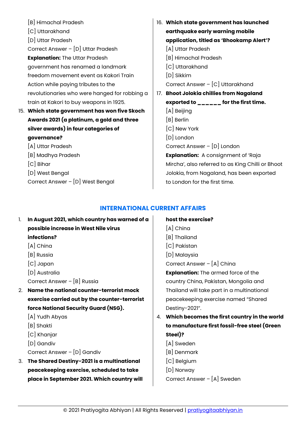| [B] Himachal Pradesh                          |     | 16. Which state government has launched                                                    |
|-----------------------------------------------|-----|--------------------------------------------------------------------------------------------|
| [C] Uttarakhand                               |     | earthquake early warning mobile                                                            |
| [D] Uttar Pradesh                             |     | application, titled as 'Bhookamp Alert'?                                                   |
| Correct Answer - [D] Uttar Pradesh            |     | [A] Uttar Pradesh                                                                          |
| <b>Explanation: The Uttar Pradesh</b>         |     | [B] Himachal Pradesh                                                                       |
| government has renamed a landmark             |     | [C] Uttarakhand                                                                            |
| freedom movement event as Kakori Train        |     | [D] Sikkim                                                                                 |
| Action while paying tributes to the           |     | Correct Answer - [C] Uttarakhand                                                           |
| revolutionaries who were hanged for robbing a | 17. | <b>Bhoot Jolokia chillies from Nagaland</b>                                                |
| train at Kakori to buy weapons in 1925.       |     | exported to $\mathbf{L}_{\mathbf{L}=\mathbf{L}=\mathbf{L}=\mathbf{L}}$ for the first time. |
| 15. Which state government has won five Skoch |     | [A] Beijing                                                                                |
| Awards 2021 (a platinum, a gold and three     |     | [B] Berlin                                                                                 |
| silver awards) in four categories of          |     | [C] New York                                                                               |
| governance?                                   |     | [D] London                                                                                 |
| [A] Uttar Pradesh                             |     | Correct Answer - [D] London                                                                |
| [B] Madhya Pradesh                            |     | <b>Explanation:</b> A consignment of 'Raja                                                 |
| $[C]$ Bihar                                   |     | Mircha', also referred to as King Chilli or Bhoot                                          |
| [D] West Bengal                               |     | Jolokia, from Nagaland, has been exported                                                  |
| Correct Answer - [D] West Bengal              |     | to London for the first time.                                                              |
|                                               |     |                                                                                            |

#### **INTERNATIONAL CURRENT AFFAIRS**

<span id="page-20-0"></span>

| 1. | In August 2021, which country has warned of a |   |
|----|-----------------------------------------------|---|
|    | possible increase in West Nile virus          |   |
|    | infections?                                   |   |
|    | $[A]$ China                                   |   |
|    | [B] Russia                                    |   |
|    | [C] Japan                                     |   |
|    | [D] Australia                                 |   |
|    | Correct Answer $-[B]$ Russia                  |   |
| 2. | Name the national counter-terrorist mock      |   |
|    | exercise carried out by the counter-terrorist |   |
|    | force National Security Guard (NSG).          |   |
|    | [A] Yudh Abyas                                | 4 |
|    | [B] Shakti                                    |   |
|    | $[C]$ Khanjar                                 |   |
|    | [D] Gandiv                                    |   |
|    | Correct Answer - [D] Gandiv                   |   |
| 3. | The Shared Destiny-2021 is a multinational    |   |
|    | peacekeeping exercise, scheduled to take      |   |
|    | place in September 2021. Which country will   |   |
|    |                                               |   |

#### **host the exercise?**

- [A] China
- [B] Thailand
- [C] Pakistan
- [D] Malaysia

Correct Answer – [A] China

**Explanation:** The armed force of the country China, Pakistan, Mongolia and Thailand will take part in a multinational peacekeeping exercise named "Shared Destiny-2021".

- 4. **Which becomes the first country in the world to manufacture first fossil-free steel (Green Steel)?**
	- [A] Sweden
	- [B] Denmark
	- [C] Belgium
	- [D] Norway

Correct Answer – [A] Sweden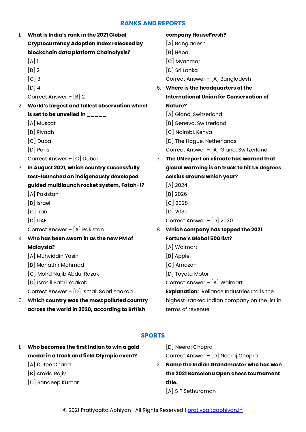#### **RANKS AND REPORTS**

<span id="page-21-0"></span>

| 1. | What is India's rank in the 2021 Global                                                       |    | company HouseFresh?                                               |
|----|-----------------------------------------------------------------------------------------------|----|-------------------------------------------------------------------|
|    | <b>Cryptocurrency Adoption Index released by</b>                                              |    | [A] Bangladesh                                                    |
|    | blockchain data platform Chainalysis?                                                         |    | [B] Nepal                                                         |
|    | $[A]$ 1                                                                                       |    | [C] Myanmar                                                       |
|    | $[B]$ 2                                                                                       |    | [D] Sri Lanka                                                     |
|    | $[C]$ 3                                                                                       |    | Correct Answer - [A] Bangladesh                                   |
|    | $[D]$ 4                                                                                       |    | 6. Where is the headquarters of the                               |
|    | Correct Answer $-[B]$ 2                                                                       |    | <b>International Union for Conservation of</b>                    |
| 2. | World's largest and tallest observation wheel                                                 |    | <b>Nature?</b>                                                    |
|    | is set to be unveiled in $\frac{1}{2}$                                                        |    | [A] Gland, Switzerland                                            |
|    | [A] Muscat                                                                                    |    | [B] Geneva, Switzerland                                           |
|    | [B] Riyadh                                                                                    |    | [C] Nairobi, Kenya                                                |
|    | [C] Dubai                                                                                     |    | [D] The Hague, Netherlands                                        |
|    | [D] Paris                                                                                     |    | Correct Answer - [A] Gland, Switzerland                           |
|    | Correct Answer - [C] Dubai                                                                    | 7. | The UN report on climate has warned that                          |
| 3. | In August 2021, which country successfully                                                    |    | global warming is on track to hit 1.5 degrees                     |
|    |                                                                                               |    |                                                                   |
|    | test-launched an indigenously developed                                                       |    | celsius around which year?                                        |
|    | guided multilaunch rocket system, Fatah-1?                                                    |    | $[A]$ 2024                                                        |
|    | [A] Pakistan                                                                                  |    | $[B]$ 2026                                                        |
|    | [B] Israel                                                                                    |    | $[C]$ 2028                                                        |
|    | $[C]$ Iran                                                                                    |    | $[D]$ 2030                                                        |
|    | $[D]$ UAE                                                                                     |    | Correct Answer - [D] 2030                                         |
|    | Correct Answer - [A] Pakistan                                                                 | 8. | Which company has topped the 2021                                 |
|    | 4. Who has been sworn in as the new PM of                                                     |    | <b>Fortune's Global 500 list?</b>                                 |
|    | <b>Malaysia?</b>                                                                              |    | [A] Walmart                                                       |
|    | [A] Muhyiddin Yasin                                                                           |    | [B] Apple                                                         |
|    | [B] Mahathir Mohmad                                                                           |    | [C] Amazon                                                        |
|    | [C] Mohd Najib Abdul Razak                                                                    |    | [D] Toyota Motor                                                  |
|    | [D] Ismail Sabri Yaakob                                                                       |    | Correct Answer - [A] Walmart                                      |
|    | Correct Answer - [D] Ismail Sabri Yaakob                                                      |    | <b>Explanation:</b> Reliance Industries Ltd is the                |
| 5. | Which country was the most polluted country<br>across the world in 2020, according to British |    | highest-ranked Indian company on the list in<br>terms of revenue. |

#### **SPORTS**

- <span id="page-21-1"></span>1. **Who becomes the first Indian to win a gold medal in a track and field Olympic event?**
	- [A] Dutee Chand
	- [B] Arokia Rajiv
	- [C] Sandeep Kumar

[D] Neeraj Chopra Correct Answer – [D] Neeraj Chopra

- 2. **Name the Indian Grandmaster who has won the 2021 Barcelona Open chess tournament title.**
	- [A] S P Sethuraman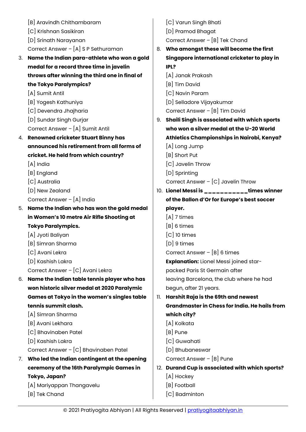|    | [B] Aravindh Chithambaram                      |     | [C] Varun Singh Bhati                           |
|----|------------------------------------------------|-----|-------------------------------------------------|
|    | [C] Krishnan Sasikiran                         |     | [D] Pramod Bhagat                               |
|    | [D] Srinath Narayanan                          |     | Correct Answer $-$ [B] Tek Chand                |
|    | Correct Answer - [A] S P Sethuraman            | 8.  | Who amongst these will become the first         |
| 3. | Name the Indian para-athlete who won a gold    |     | Singapore international cricketer to play in    |
|    | medal for a record three time in javelin       |     | IPL?                                            |
|    | throws after winning the third one in final of |     | [A] Janak Prakash                               |
|    | the Tokyo Paralympics?                         |     | [B] Tim David                                   |
|    | [A] Sumit Antil                                |     | [C] Navin Param                                 |
|    | [B] Yogesh Kathuniya                           |     | [D] Selladore Vijayakumar                       |
|    | [C] Devendra Jhajharia                         |     | Correct Answer - [B] Tim David                  |
|    | [D] Sundar Singh Gurjar                        | 9.  | Shaili Singh is associated with which sports    |
|    | Correct Answer - [A] Sumit Antil               |     | who won a silver medal at the U-20 World        |
| 4. | <b>Renowned cricketer Stuart Binny has</b>     |     | Athletics Championships in Nairobi, Kenya?      |
|    | announced his retirement from all forms of     |     | [A] Long Jump                                   |
|    | cricket. He held from which country?           |     | [B] Short Put                                   |
|    | $[A]$ India                                    |     | [C] Javelin Throw                               |
|    | [B] England                                    |     | [D] Sprinting                                   |
|    | [C] Australia                                  |     | Correct Answer $ [C]$ Javelin Throw             |
|    | [D] New Zealand                                |     | 10. Lionel Messi is ___________times winner     |
|    | Correct Answer - [A] India                     |     | of the Ballon d'Or for Europe's best soccer     |
| 5. | Name the Indian who has won the gold medal     |     | player.                                         |
|    | in Women's 10 metre Air Rifle Shooting at      |     | $[A]$ 7 times                                   |
|    | <b>Tokyo Paralympics.</b>                      |     | $[B]$ 6 times                                   |
|    | [A] Jyoti Baliyan                              |     | $[C]$ 10 times                                  |
|    | [B] Simran Sharma                              |     | $[D]$ 9 times                                   |
|    | [C] Avani Lekra                                |     | Correct Answer $-$ [B] 6 times                  |
|    | [D] Kashish Lakra                              |     | <b>Explanation:</b> Lionel Messi joined star-   |
|    | Correct Answer - [C] Avani Lekra               |     | packed Paris St Germain after                   |
| 6. | Name the Indian table tennis player who has    |     | leaving Barcelona, the club where he had        |
|    | won historic silver medal at 2020 Paralymic    |     | begun, after 21 years.                          |
|    | Games at Tokyo in the women's singles table    | 11. | Harshit Raja is the 69th and newest             |
|    | tennis summit clash.                           |     | Grandmaster in Chess for India. He hails from   |
|    | [A] Simran Sharma                              |     | which city?                                     |
|    | [B] Avani Lekhara                              |     | [A] Kolkata                                     |
|    | [C] Bhavinaben Patel                           |     | $[B]$ Pune                                      |
|    | [D] Kashish Lakra                              |     | [C] Guwahati                                    |
|    | Correct Answer - [C] Bhavinaben Patel          |     | [D] Bhubaneswar                                 |
| 7. | Who led the Indian contingent at the opening   |     | Correct Answer - [B] Pune                       |
|    | ceremony of the 16th Paralympic Games in       |     | 12. Durand Cup is associated with which sports? |
|    | Tokyo, Japan?                                  |     | [A] Hockey                                      |
|    | [A] Mariyappan Thangavelu                      |     | [B] Football                                    |
|    | [B] Tek Chand                                  |     | [C] Badminton                                   |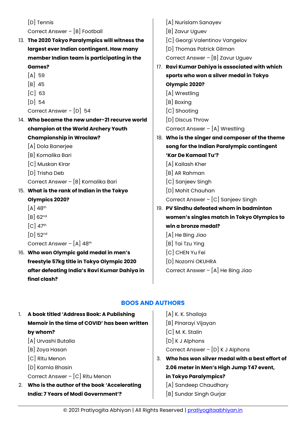[D] Tennis Correct Answer – [B] Football 13. **The 2020 Tokyo Paralympics will witness the largest ever Indian contingent. How many member Indian team is participating in the Games?**  $[A]$  59 [B] 45 [C] 63 [D] 54 Correct Answer – [D] 54 14. **Who became the new under-21 recurve world champion at the World Archery Youth Championship in Wroclaw?** [A] Dola Banerjee [B] Komalika Bari [C] Muskan Kirar [D] Trisha Deb Correct Answer – [B] Komalika Bari 15. **What is the rank of Indian in the Tokyo Olympics 2020?**  $[A]$  48<sup>th</sup> [B] 62nd  $[C]$  47<sup>th</sup> [D] 52nd Correct Answer –  $[A]$  48<sup>th</sup> 16. **Who won Olympic gold medal in men's freestyle 57kg title in Tokyo Olympic 2020 after defeating India's Ravi Kumar Dahiya in final clash?**  [A] Nurislam Sanayev [B] Zavur Uguev [C] Georgi Valentinov Vangelov [D] Thomas Patrick Gilman Correct Answer – [B] Zavur Uguev 17. **Ravi Kumar Dahiya is associated with which sports who won a silver medal in Tokyo Olympic 2020?** [A] Wrestling [B] Boxing [C] Shooting [D] Discus Throw Correct Answer – [A] Wrestling 18. **Who is the singer and composer of the theme song for the Indian Paralympic contingent 'Kar De Kamaal Tu'?** [A] Kailash Kher [B] AR Rahman [C] Sanjeev Singh [D] Mohit Chauhan Correct Answer – [C] Sanjeev Singh 19. **PV Sindhu defeated whom in badminton women's singles match in Tokyo Olympics to win a bronze medal?** [A] He Bing Jiao [B] Tai Tzu Ying [C] CHEN Yu Fei [D] Nozomi OKUHRA Correct Answer – [A] He Bing Jiao

#### **BOOS AND AUTHORS**

- <span id="page-23-0"></span>1. **A book titled 'Address Book: A Publishing Memoir in the time of COVID' has been written by whom?**
	- [A] Urvashi Butalia
	- [B] Zoya Hasan
	- [C] Ritu Menon
	- [D] Kamla Bhasin
	- Correct Answer [C] Ritu Menon
- 2. **Who is the author of the book 'Accelerating India: 7 Years of Modi Government'?**
- [A] K. K. Shailaja [B] Pinarayi Vijayan [C] M. K. Stalin [D] K J Alphons Correct Answer – [D] K J Alphons 3. **Who has won silver medal with a best effort of**
- **2.06 meter in Men's High Jump T47 event, in Tokyo Paralympics?**
	- [A] Sandeep Chaudhary
	- [B] Sundar Singh Gurjar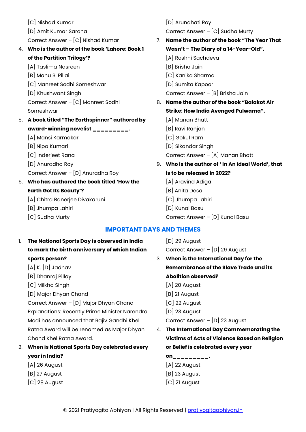|    | [C] Nishad Kumar                              |                | [D] Arundhati Roy                               |
|----|-----------------------------------------------|----------------|-------------------------------------------------|
|    | [D] Amit Kumar Saroha                         |                | Correct Answer - [C] Sudha Murty                |
|    | Correct Answer - [C] Nishad Kumar             | 7 <sub>1</sub> | Name the author of the book "The Year That      |
| 4. | Who is the author of the book 'Lahore: Book 1 |                | Wasn't - The Diary of a 14-Year-Old".           |
|    | of the Partition Trilogy'?                    |                | [A] Roshni Sachdeva                             |
|    | [A] Taslima Nasreen                           |                | [B] Brisha Jain                                 |
|    | [B] Manu S. Pillai                            |                | [C] Kanika Sharma                               |
|    | [C] Manreet Sodhi Someshwar                   |                | [D] Sumita Kapoor                               |
|    | [D] Khushwant Singh                           |                | Correct Answer - [B] Brisha Jain                |
|    | Correct Answer - [C] Manreet Sodhi            | 8.             | Name the author of the book "Balakot Air        |
|    | Someshwar                                     |                | Strike: How India Avenged Pulwama".             |
| 5. | A book titled "The Earthspinner" authored by  |                | [A] Manan Bhatt                                 |
|    | award-winning novelist _________.             |                | [B] Ravi Ranjan                                 |
|    | [A] Mansi Karmakar                            |                | [C] Gokul Ram                                   |
|    | [B] Nipa Kumari                               |                | [D] Sikandar Singh                              |
|    | [C] Inderjeet Rana                            |                | Correct Answer - [A] Manan Bhatt                |
|    | [D] Anuradha Roy                              | 9.             | Who is the author of ' In An Ideal World', that |
|    | Correct Answer - [D] Anuradha Roy             |                | is to be released in 2022?                      |
| 6. | Who has authored the book titled 'How the     |                | [A] Aravind Adiga                               |
|    | <b>Earth Got Its Beauty'?</b>                 |                | [B] Anita Desai                                 |
|    | [A] Chitra Banerjee Divakaruni                |                | [C] Jhumpa Lahiri                               |
|    | [B] Jhumpa Lahiri                             |                | [D] Kunal Basu                                  |
|    | [C] Sudha Murty                               |                | Correct Answer - [D] Kunal Basu                 |
|    |                                               |                |                                                 |

#### **IMPORTANT DAYS AND THEMES**

- <span id="page-24-0"></span>1. **The National Sports Day is observed in India to mark the birth anniversary of which Indian sports person?** [A] K. [D] Jadhav [B] Dhanraj Pillay [C] Milkha Singh
	- [D] Major Dhyan Chand

Correct Answer – [D] Major Dhyan Chand Explanations: Recently Prime Minister Narendra Modi has announced that Rajiv Gandhi Khel Ratna Award will be renamed as Major Dhyan Chand Khel Ratna Award.

- 2. **When is National Sports Day celebrated every year in India?**
	- [A] 26 August
	- [B] 27 August
	- [C] 28 August

[D] 29 August Correct Answer – [D] 29 August

- 3. **When is the International Day for the Remembrance of the Slave Trade and its Abolition observed?**
	- [A] 20 August
	- [B] 21 August
	- [C] 22 August
	- [D] 23 August

Correct Answer – [D] 23 August

- 4. **The International Day Commemorating the Victims of Acts of Violence Based on Religion or Belief is celebrated every year** 
	- **on\_\_\_\_\_\_\_\_\_.**
	- [A] 22 August
	- [B] 23 August
	- [C] 21 August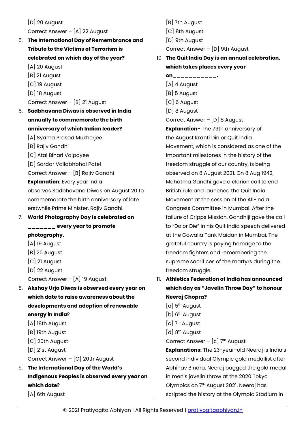[D] 20 August Correct Answer – [A] 22 August

5. **The International Day of Remembrance and Tribute to the Victims of Terrorism is celebrated on which day of the year?**

[A] 20 August

- [B] 21 August
- [C] 19 August
- [D] 18 August

Correct Answer – [B] 21 August

- 6. **Sadbhavana Diwas is observed in India annually to commemorate the birth anniversary of which Indian leader?**
	- [A] Syama Prasad Mukherjee
	- [B] Rajiv Gandhi
	- [C] Atal Bihari Vajpayee
	- [D] Sardar Vallabhbhai Patel

Correct Answer – [B] Rajiv Gandhi

**Explanation**: Every year India

observes Sadbhavana Diwas on August 20 to commemorate the birth anniversary of late erstwhile Prime Minister, Rajiv Gandhi.

7. **World Photography Day is celebrated on \_\_\_\_\_\_\_ every year to promote photography.**

- [A] 19 August
- [B] 20 August
- [C] 21 August
- [D] 22 August
- Correct Answer [A] 19 August
- 8. **Akshay Urja Diwas is observed every year on which date to raise awareness about the developments and adoption of renewable energy in India?**
	- [A] 18th August
	- [B] 19th August
	- [C] 20th August
	- [D] 21st August
	- Correct Answer [C] 20th August
- 9. **The International Day of the World's Indigenous Peoples is observed every year on which date?**

[A] 6th August

[B] 7th August [C] 8th August [D] 9th August Correct Answer – [D] 9th August

10. **The Quit India Day is an annual celebration, which takes places every year** 

#### **on\_\_\_\_\_\_\_\_\_\_\_.** [A] 4 August [B] 5 August [C] 6 August [D] 8 August Correct Answer – [D] 8 August

**Explanation-** The 79th anniversary of the August Kranti Din or Quit India Movement, which is considered as one of the important milestones in the history of the freedom struggle of our country, is being observed on 8 August 2021. On 8 Aug 1942, Mahatma Gandhi gave a clarion call to end British rule and launched the Quit India Movement at the session of the All-India Congress Committee in Mumbai. After the failure of Cripps Mission, Gandhiji gave the call to "Do or Die" in his Quit India speech delivered at the Gowalia Tank Maidan in Mumbai. The grateful country is paying homage to the freedom fighters and remembering the supreme sacrifices of the martyrs during the freedom struggle.

- 11. **Athletics Federation of India has announced which day as "Javelin Throw Day" to honour Neeraj Chopra?**
	- [a] 5th August
	- [b] 6<sup>th</sup> August
	- [c] 7<sup>th</sup> August
	- $[d]$  8<sup>th</sup> August
	- Correct Answer  $[c]$  7<sup>th</sup> August

**Explanations:** The 23-year-old Neeraj is India's second individual Olympic gold medallist after Abhinav Bindra. Neeraj bagged the gold medal in men's javelin throw at the 2020 Tokyo Olympics on 7th August 2021. Neeraj has scripted the history at the Olympic Stadium in